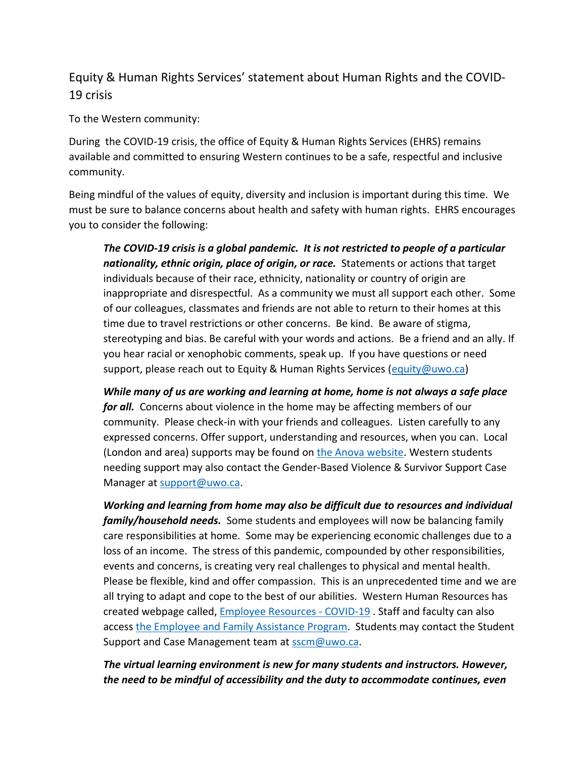## Equity & Human Rights Services' statement about Human Rights and the COVID-19 crisis

To the Western community:

During the COVID-19 crisis, the office of Equity & Human Rights Services (EHRS) remains available and committed to ensuring Western continues to be a safe, respectful and inclusive community.

Being mindful of the values of equity, diversity and inclusion is important during this time. We must be sure to balance concerns about health and safety with human rights. EHRS encourages you to consider the following:

*The COVID-19 crisis is a global pandemic. It is not restricted to people of a particular nationality, ethnic origin, place of origin, or race.* Statements or actions that target individuals because of their race, ethnicity, nationality or country of origin are inappropriate and disrespectful. As a community we must all support each other. Some of our colleagues, classmates and friends are not able to return to their homes at this time due to travel restrictions or other concerns. Be kind. Be aware of stigma, stereotyping and bias. Be careful with your words and actions. Be a friend and an ally. If you hear racial or xenophobic comments, speak up. If you have questions or need support, please reach out to Equity & Human Rights Services [\(equity@uwo.ca\)](mailto:equity@uwo.ca)

*While many of us are working and learning at home, home is not always a safe place for all.* Concerns about violence in the home may be affecting members of our community. Please check-in with your friends and colleagues. Listen carefully to any expressed concerns. Offer support, understanding and resources, when you can. Local (London and area) supports may be found on [the Anova website.](http://www.anovafuture.org/support/local-resources/) Western students needing support may also contact the Gender-Based Violence & Survivor Support Case Manager at [support@uwo.ca.](mailto:support@uwo.ca)

*Working and learning from home may also be difficult due to resources and individual family/household needs.* Some students and employees will now be balancing family care responsibilities at home. Some may be experiencing economic challenges due to a loss of an income. The stress of this pandemic, compounded by other responsibilities, events and concerns, is creating very real challenges to physical and mental health. Please be flexible, kind and offer compassion. This is an unprecedented time and we are all trying to adapt and cope to the best of our abilities. Western Human Resources has created webpage called, [Employee Resources -](https://uwo.ca/hr/spec_resources.html) COVID-19 . Staff and faculty can also access [the Employee and Family Assistance Program.](https://www.uwo.ca/hr/benefits/eap/index.html) Students may contact the Student Support and Case Management team at **sscm@uwo.ca**.

## *The virtual learning environment is new for many students and instructors. However, the need to be mindful of accessibility and the duty to accommodate continues, even*